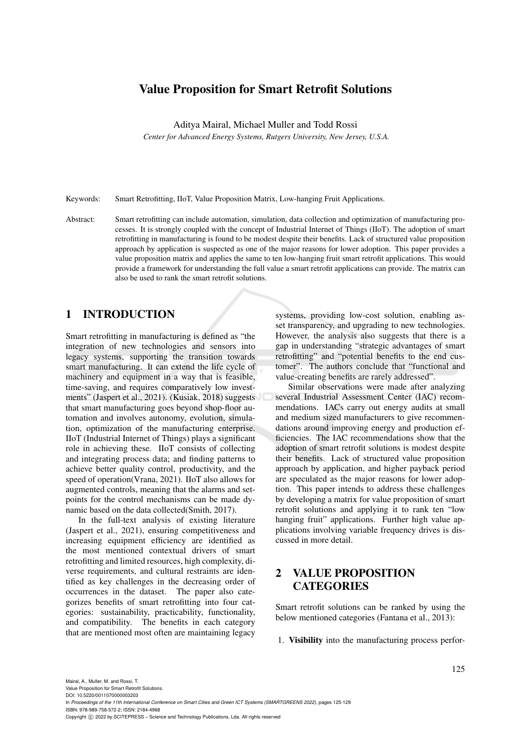## Value Proposition for Smart Retrofit Solutions

Aditya Mairal, Michael Muller and Todd Rossi

*Center for Advanced Energy Systems, Rutgers University, New Jersey, U.S.A.*

Keywords: Smart Retrofitting, IIoT, Value Proposition Matrix, Low-hanging Fruit Applications.

Abstract: Smart retrofitting can include automation, simulation, data collection and optimization of manufacturing processes. It is strongly coupled with the concept of Industrial Internet of Things (IIoT). The adoption of smart retrofitting in manufacturing is found to be modest despite their benefits. Lack of structured value proposition approach by application is suspected as one of the major reasons for lower adoption. This paper provides a value proposition matrix and applies the same to ten low-hanging fruit smart retrofit applications. This would provide a framework for understanding the full value a smart retrofit applications can provide. The matrix can also be used to rank the smart retrofit solutions.

# 1 INTRODUCTION

Smart retrofitting in manufacturing is defined as "the integration of new technologies and sensors into legacy systems, supporting the transition towards smart manufacturing. It can extend the life cycle of machinery and equipment in a way that is feasible, time-saving, and requires comparatively low investments" (Jaspert et al., 2021). (Kusiak, 2018) suggests that smart manufacturing goes beyond shop-floor automation and involves autonomy, evolution, simulation, optimization of the manufacturing enterprise. IIoT (Industrial Internet of Things) plays a significant role in achieving these. IIoT consists of collecting and integrating process data; and finding patterns to achieve better quality control, productivity, and the speed of operation(Vrana, 2021). IIoT also allows for augmented controls, meaning that the alarms and setpoints for the control mechanisms can be made dynamic based on the data collected(Smith, 2017).

In the full-text analysis of existing literature (Jaspert et al., 2021), ensuring competitiveness and increasing equipment efficiency are identified as the most mentioned contextual drivers of smart retrofitting and limited resources, high complexity, diverse requirements, and cultural restraints are identified as key challenges in the decreasing order of occurrences in the dataset. The paper also categorizes benefits of smart retrofitting into four categories: sustainability, practicability, functionality, and compatibility. The benefits in each category that are mentioned most often are maintaining legacy

systems, providing low-cost solution, enabling asset transparency, and upgrading to new technologies. However, the analysis also suggests that there is a gap in understanding "strategic advantages of smart retrofitting" and "potential benefits to the end customer". The authors conclude that "functional and value-creating benefits are rarely addressed".

Similar observations were made after analyzing several Industrial Assessment Center (IAC) recommendations. IACs carry out energy audits at small and medium sized manufacturers to give recommendations around improving energy and production efficiencies. The IAC recommendations show that the adoption of smart retrofit solutions is modest despite their benefits. Lack of structured value proposition approach by application, and higher payback period are speculated as the major reasons for lower adoption. This paper intends to address these challenges by developing a matrix for value proposition of smart retrofit solutions and applying it to rank ten "low hanging fruit" applications. Further high value applications involving variable frequency drives is discussed in more detail.

# 2 VALUE PROPOSITION **CATEGORIES**

Smart retrofit solutions can be ranked by using the below mentioned categories (Fantana et al., 2013):

1. Visibility into the manufacturing process perfor-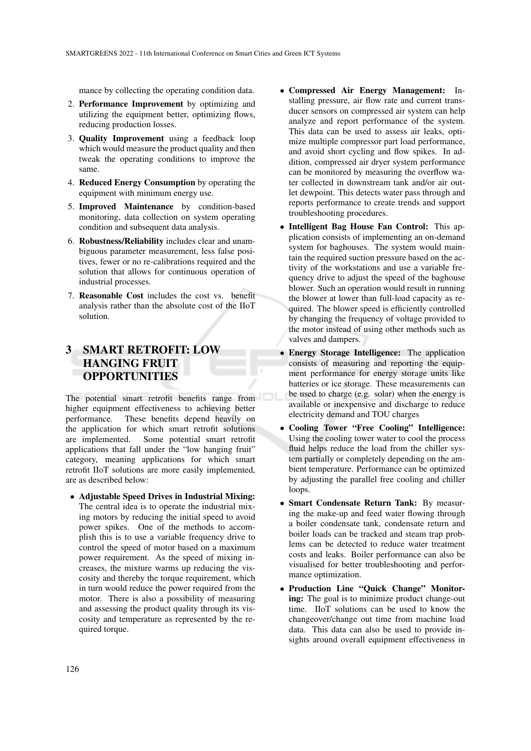mance by collecting the operating condition data.

- 2. Performance Improvement by optimizing and utilizing the equipment better, optimizing flows, reducing production losses.
- 3. Quality Improvement using a feedback loop which would measure the product quality and then tweak the operating conditions to improve the same.
- 4. Reduced Energy Consumption by operating the equipment with minimum energy use.
- 5. Improved Maintenance by condition-based monitoring, data collection on system operating condition and subsequent data analysis.
- 6. Robustness/Reliability includes clear and unambiguous parameter measurement, less false positives, fewer or no re-calibrations required and the solution that allows for continuous operation of industrial processes.
- 7. Reasonable Cost includes the cost vs. benefit analysis rather than the absolute cost of the IIoT solution.

# 3 SMART RETROFIT: LOW HANGING FRUIT OPPORTUNITIES

The potential smart retrofit benefits range from higher equipment effectiveness to achieving better performance. These benefits depend heavily on the application for which smart retrofit solutions are implemented. Some potential smart retrofit applications that fall under the "low hanging fruit" category, meaning applications for which smart retrofit IIoT solutions are more easily implemented, are as described below:

• Adjustable Speed Drives in Industrial Mixing: The central idea is to operate the industrial mixing motors by reducing the initial speed to avoid power spikes. One of the methods to accomplish this is to use a variable frequency drive to control the speed of motor based on a maximum power requirement. As the speed of mixing increases, the mixture warms up reducing the viscosity and thereby the torque requirement, which in turn would reduce the power required from the motor. There is also a possibility of measuring and assessing the product quality through its viscosity and temperature as represented by the required torque.

- Compressed Air Energy Management: Installing pressure, air flow rate and current transducer sensors on compressed air system can help analyze and report performance of the system. This data can be used to assess air leaks, optimize multiple compressor part load performance, and avoid short cycling and flow spikes. In addition, compressed air dryer system performance can be monitored by measuring the overflow water collected in downstream tank and/or air outlet dewpoint. This detects water pass through and reports performance to create trends and support troubleshooting procedures.
- Intelligent Bag House Fan Control: This application consists of implementing an on-demand system for baghouses. The system would maintain the required suction pressure based on the activity of the workstations and use a variable frequency drive to adjust the speed of the baghouse blower. Such an operation would result in running the blower at lower than full-load capacity as required. The blower speed is efficiently controlled by changing the frequency of voltage provided to the motor instead of using other methods such as valves and dampers.
- Energy Storage Intelligence: The application consists of measuring and reporting the equipment performance for energy storage units like batteries or ice storage. These measurements can be used to charge (e.g. solar) when the energy is available or inexpensive and discharge to reduce electricity demand and TOU charges
- Cooling Tower "Free Cooling" Intelligence: Using the cooling tower water to cool the process fluid helps reduce the load from the chiller system partially or completely depending on the ambient temperature. Performance can be optimized by adjusting the parallel free cooling and chiller loops.
- Smart Condensate Return Tank: By measuring the make-up and feed water flowing through a boiler condensate tank, condensate return and boiler loads can be tracked and steam trap problems can be detected to reduce water treatment costs and leaks. Boiler performance can also be visualised for better troubleshooting and performance optimization.
- Production Line "Quick Change" Monitoring: The goal is to minimize product change-out time. IIoT solutions can be used to know the changeover/change out time from machine load data. This data can also be used to provide insights around overall equipment effectiveness in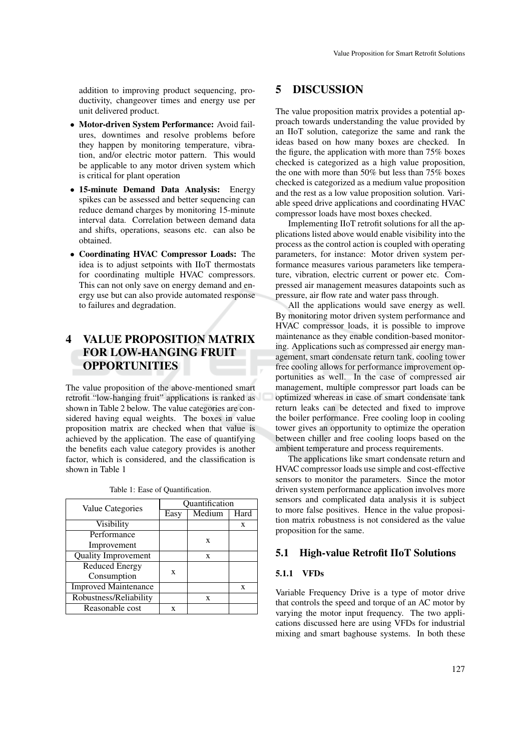addition to improving product sequencing, productivity, changeover times and energy use per unit delivered product.

- Motor-driven System Performance: Avoid failures, downtimes and resolve problems before they happen by monitoring temperature, vibration, and/or electric motor pattern. This would be applicable to any motor driven system which is critical for plant operation
- 15-minute Demand Data Analysis: Energy spikes can be assessed and better sequencing can reduce demand charges by monitoring 15-minute interval data. Correlation between demand data and shifts, operations, seasons etc. can also be obtained.
- Coordinating HVAC Compressor Loads: The idea is to adjust setpoints with IIoT thermostats for coordinating multiple HVAC compressors. This can not only save on energy demand and energy use but can also provide automated response to failures and degradation.

# 4 VALUE PROPOSITION MATRIX FOR LOW-HANGING FRUIT **OPPORTUNITIES**

The value proposition of the above-mentioned smart retrofit "low-hanging fruit" applications is ranked as shown in Table 2 below. The value categories are considered having equal weights. The boxes in value proposition matrix are checked when that value is achieved by the application. The ease of quantifying the benefits each value category provides is another factor, which is considered, and the classification is shown in Table 1

| Value Categories            | Quantification |        |      |  |  |
|-----------------------------|----------------|--------|------|--|--|
|                             | Easy           | Medium | Hard |  |  |
| Visibility                  |                |        | X    |  |  |
| Performance                 |                | X      |      |  |  |
| Improvement                 |                |        |      |  |  |
| <b>Quality Improvement</b>  |                | X      |      |  |  |
| <b>Reduced Energy</b>       | X              |        |      |  |  |
| Consumption                 |                |        |      |  |  |
| <b>Improved Maintenance</b> |                |        | X    |  |  |
| Robustness/Reliability      |                | X      |      |  |  |
| Reasonable cost             | X              |        |      |  |  |

Table 1: Ease of Quantification.

### 5 DISCUSSION

The value proposition matrix provides a potential approach towards understanding the value provided by an IIoT solution, categorize the same and rank the ideas based on how many boxes are checked. In the figure, the application with more than 75% boxes checked is categorized as a high value proposition, the one with more than 50% but less than 75% boxes checked is categorized as a medium value proposition and the rest as a low value proposition solution. Variable speed drive applications and coordinating HVAC compressor loads have most boxes checked.

Implementing IIoT retrofit solutions for all the applications listed above would enable visibility into the process as the control action is coupled with operating parameters, for instance: Motor driven system performance measures various parameters like temperature, vibration, electric current or power etc. Compressed air management measures datapoints such as pressure, air flow rate and water pass through.

All the applications would save energy as well. By monitoring motor driven system performance and HVAC compressor loads, it is possible to improve maintenance as they enable condition-based monitoring. Applications such as compressed air energy management, smart condensate return tank, cooling tower free cooling allows for performance improvement opportunities as well. In the case of compressed air management, multiple compressor part loads can be optimized whereas in case of smart condensate tank return leaks can be detected and fixed to improve the boiler performance. Free cooling loop in cooling tower gives an opportunity to optimize the operation between chiller and free cooling loops based on the ambient temperature and process requirements.

The applications like smart condensate return and HVAC compressor loads use simple and cost-effective sensors to monitor the parameters. Since the motor driven system performance application involves more sensors and complicated data analysis it is subject to more false positives. Hence in the value proposition matrix robustness is not considered as the value proposition for the same.

### 5.1 High-value Retrofit IIoT Solutions

#### 5.1.1 VFDs

Variable Frequency Drive is a type of motor drive that controls the speed and torque of an AC motor by varying the motor input frequency. The two applications discussed here are using VFDs for industrial mixing and smart baghouse systems. In both these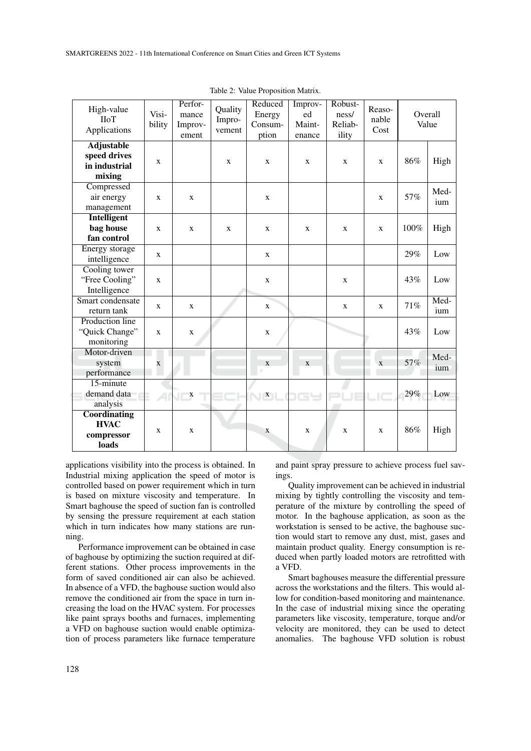| High-value<br><b>HoT</b><br>Applications                     | Visi-<br>bility | Perfor-<br>mance<br>Improv-<br>ement | Quality<br>Impro-<br>vement | Reduced<br>Energy<br>Consum-<br>ption | Improv-<br>ed<br>Maint-<br>enance | Robust-<br>ness/<br>Reliab-<br>ility | Reaso-<br>nable<br>Cost | Overall<br>Value |             |
|--------------------------------------------------------------|-----------------|--------------------------------------|-----------------------------|---------------------------------------|-----------------------------------|--------------------------------------|-------------------------|------------------|-------------|
| <b>Adjustable</b><br>speed drives<br>in industrial<br>mixing | X               |                                      | X                           | X                                     | X                                 | X                                    | X                       | 86%              | High        |
| Compressed<br>air energy<br>management                       | X               | X                                    |                             | X                                     |                                   |                                      | X                       | 57%              | Med-<br>ium |
| <b>Intelligent</b><br>bag house<br>fan control               | X               | X                                    | X                           | X                                     | X                                 | X                                    | X                       | 100%             | High        |
| Energy storage<br>intelligence                               | X               |                                      |                             | X                                     |                                   |                                      |                         | 29%              | Low         |
| Cooling tower<br>"Free Cooling"<br>Intelligence              | X               |                                      |                             | $\mathbf{X}$                          |                                   | X                                    |                         | 43%              | Low         |
| Smart condensate<br>return tank                              | X               | $\mathbf{X}$                         |                             | X                                     |                                   | X                                    | $\mathbf{X}$            | 71%              | Med-<br>ium |
| Production line<br>"Quick Change"<br>monitoring              | X               | X                                    |                             | X                                     |                                   |                                      |                         | 43%              | Low         |
| Motor-driven<br>system<br>performance                        | X               |                                      |                             | X                                     | X                                 |                                      | $\mathbf{x}$            | 57%              | Med-<br>ium |
| 15-minute<br>demand data<br>analysis                         |                 | X                                    |                             | $\mathbf{X}$                          | 169                               |                                      |                         | 29%              | Low         |
| Coordinating<br><b>HVAC</b><br>compressor<br>loads           | X               | X                                    |                             | X                                     | X                                 | X                                    | X                       | 86%              | High        |

Table 2: Value Proposition Matrix.

applications visibility into the process is obtained. In Industrial mixing application the speed of motor is controlled based on power requirement which in turn is based on mixture viscosity and temperature. In Smart baghouse the speed of suction fan is controlled by sensing the pressure requirement at each station which in turn indicates how many stations are running.

Performance improvement can be obtained in case of baghouse by optimizing the suction required at different stations. Other process improvements in the form of saved conditioned air can also be achieved. In absence of a VFD, the baghouse suction would also remove the conditioned air from the space in turn increasing the load on the HVAC system. For processes like paint sprays booths and furnaces, implementing a VFD on baghouse suction would enable optimization of process parameters like furnace temperature

and paint spray pressure to achieve process fuel savings.

Quality improvement can be achieved in industrial mixing by tightly controlling the viscosity and temperature of the mixture by controlling the speed of motor. In the baghouse application, as soon as the workstation is sensed to be active, the baghouse suction would start to remove any dust, mist, gases and maintain product quality. Energy consumption is reduced when partly loaded motors are retrofitted with a VFD.

Smart baghouses measure the differential pressure across the workstations and the filters. This would allow for condition-based monitoring and maintenance. In the case of industrial mixing since the operating parameters like viscosity, temperature, torque and/or velocity are monitored, they can be used to detect anomalies. The baghouse VFD solution is robust